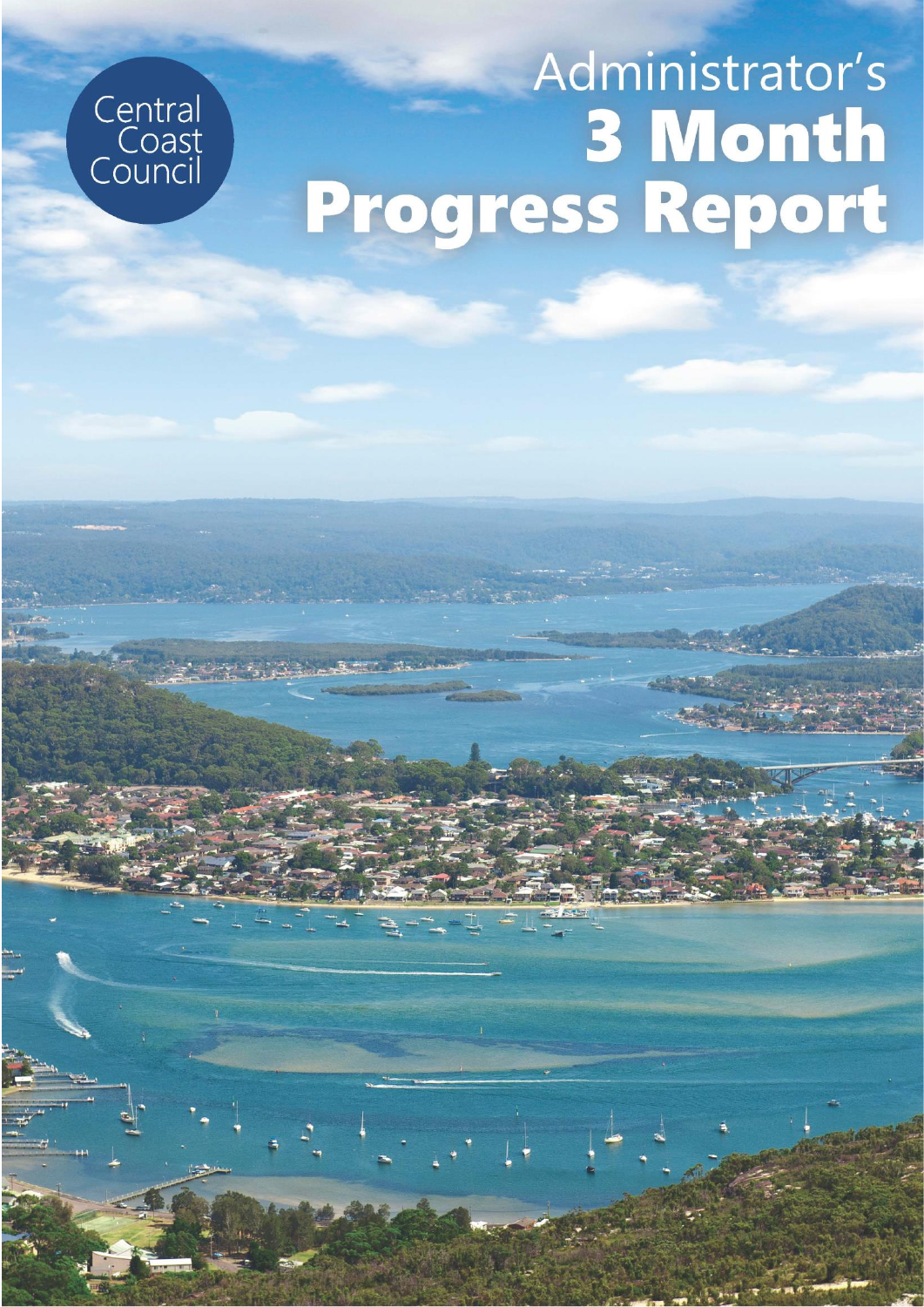



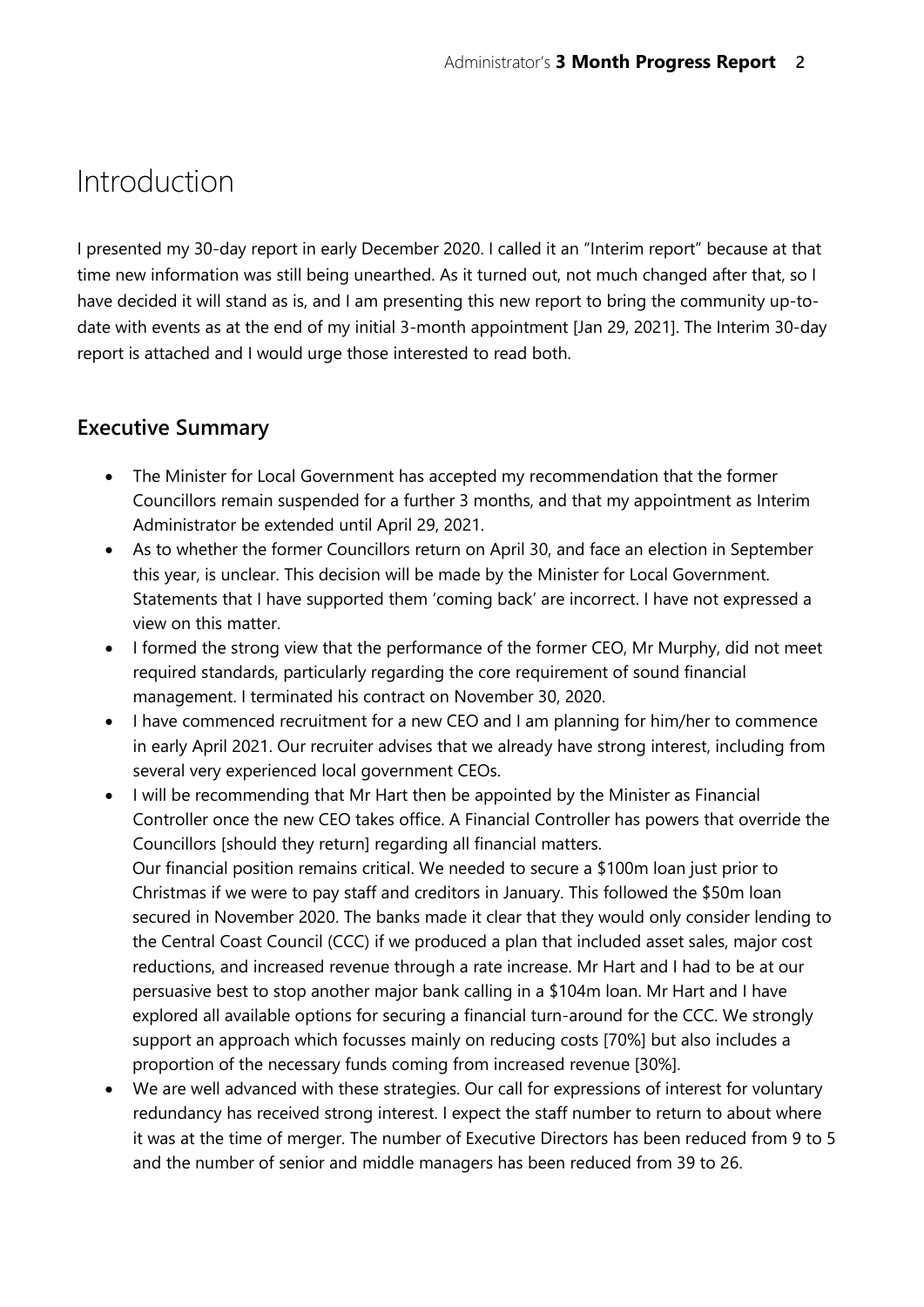# Introduction

I presented my 30-day report in early December 2020. I called it an "Interim report" because at that time new information was still being unearthed. As it turned out, not much changed after that, so I have decided it will stand as is, and I am presenting this new report to bring the community up-todate with events as at the end of my initial 3-month appointment [Jan 29, 2021]. The Interim 30-day report is attached and I would urge those interested to read both.

# **Executive Summary**

- The Minister for Local Government has accepted my recommendation that the former Councillors remain suspended for a further 3 months, and that my appointment as Interim Administrator be extended until April 29, 2021.
- As to whether the former Councillors return on April 30, and face an election in September this year, is unclear. This decision will be made by the Minister for Local Government. Statements that I have supported them 'coming back' are incorrect. I have not expressed a view on this matter.
- I formed the strong view that the performance of the former CEO, Mr Murphy, did not meet required standards, particularly regarding the core requirement of sound financial management. I terminated his contract on November 30, 2020.
- I have commenced recruitment for a new CEO and I am planning for him/her to commence in early April 2021. Our recruiter advises that we already have strong interest, including from several very experienced local government CEOs.
- I will be recommending that Mr Hart then be appointed by the Minister as Financial Controller once the new CEO takes office. A Financial Controller has powers that override the Councillors [should they return] regarding all financial matters. Our financial position remains critical. We needed to secure a \$100m loan just prior to Christmas if we were to pay staff and creditors in January. This followed the \$50m loan secured in November 2020. The banks made it clear that they would only consider lending to the Central Coast Council (CCC) if we produced a plan that included asset sales, major cost reductions, and increased revenue through a rate increase. Mr Hart and I had to be at our persuasive best to stop another major bank calling in a \$104m loan. Mr Hart and I have explored all available options for securing a financial turn-around for the CCC. We strongly support an approach which focusses mainly on reducing costs [70%] but also includes a proportion of the necessary funds coming from increased revenue [30%].
- We are well advanced with these strategies. Our call for expressions of interest for voluntary redundancy has received strong interest. I expect the staff number to return to about where it was at the time of merger. The number of Executive Directors has been reduced from 9 to 5 and the number of senior and middle managers has been reduced from 39 to 26.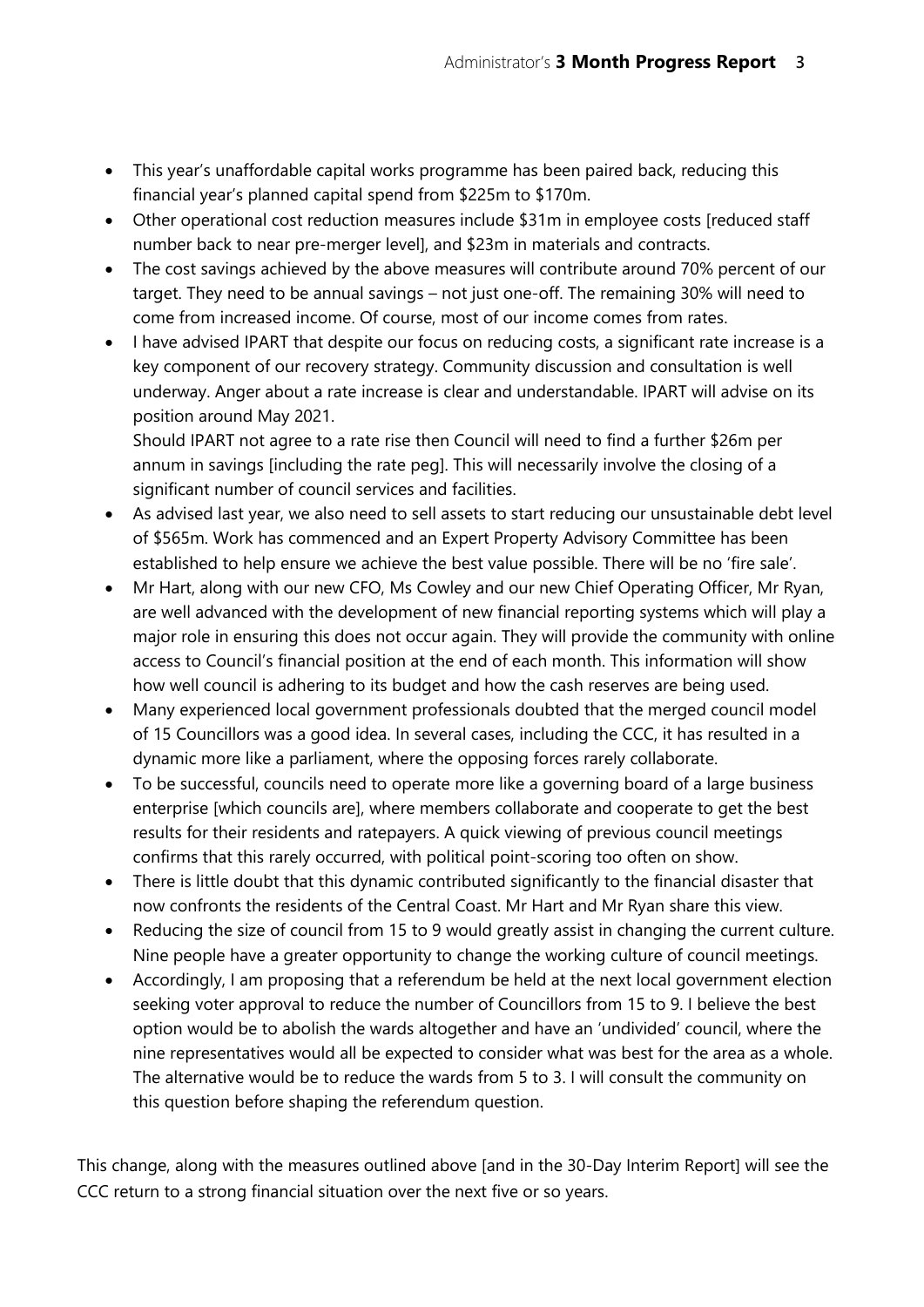- This year's unaffordable capital works programme has been paired back, reducing this financial year's planned capital spend from \$225m to \$170m.
- Other operational cost reduction measures include \$31m in employee costs [reduced staff number back to near pre-merger level], and \$23m in materials and contracts.
- The cost savings achieved by the above measures will contribute around 70% percent of our target. They need to be annual savings – not just one-off. The remaining 30% will need to come from increased income. Of course, most of our income comes from rates.
- I have advised IPART that despite our focus on reducing costs, a significant rate increase is a key component of our recovery strategy. Community discussion and consultation is well underway. Anger about a rate increase is clear and understandable. IPART will advise on its position around May 2021.

Should IPART not agree to a rate rise then Council will need to find a further \$26m per annum in savings [including the rate peg]. This will necessarily involve the closing of a significant number of council services and facilities.

- As advised last year, we also need to sell assets to start reducing our unsustainable debt level of \$565m. Work has commenced and an Expert Property Advisory Committee has been established to help ensure we achieve the best value possible. There will be no 'fire sale'.
- Mr Hart, along with our new CFO, Ms Cowley and our new Chief Operating Officer, Mr Ryan, are well advanced with the development of new financial reporting systems which will play a major role in ensuring this does not occur again. They will provide the community with online access to Council's financial position at the end of each month. This information will show how well council is adhering to its budget and how the cash reserves are being used.
- Many experienced local government professionals doubted that the merged council model of 15 Councillors was a good idea. In several cases, including the CCC, it has resulted in a dynamic more like a parliament, where the opposing forces rarely collaborate.
- To be successful, councils need to operate more like a governing board of a large business enterprise [which councils are], where members collaborate and cooperate to get the best results for their residents and ratepayers. A quick viewing of previous council meetings confirms that this rarely occurred, with political point-scoring too often on show.
- There is little doubt that this dynamic contributed significantly to the financial disaster that now confronts the residents of the Central Coast. Mr Hart and Mr Ryan share this view.
- Reducing the size of council from 15 to 9 would greatly assist in changing the current culture. Nine people have a greater opportunity to change the working culture of council meetings.
- Accordingly, I am proposing that a referendum be held at the next local government election seeking voter approval to reduce the number of Councillors from 15 to 9. I believe the best option would be to abolish the wards altogether and have an 'undivided' council, where the nine representatives would all be expected to consider what was best for the area as a whole. The alternative would be to reduce the wards from 5 to 3. I will consult the community on this question before shaping the referendum question.

This change, along with the measures outlined above [and in the 30-Day Interim Report] will see the CCC return to a strong financial situation over the next five or so years.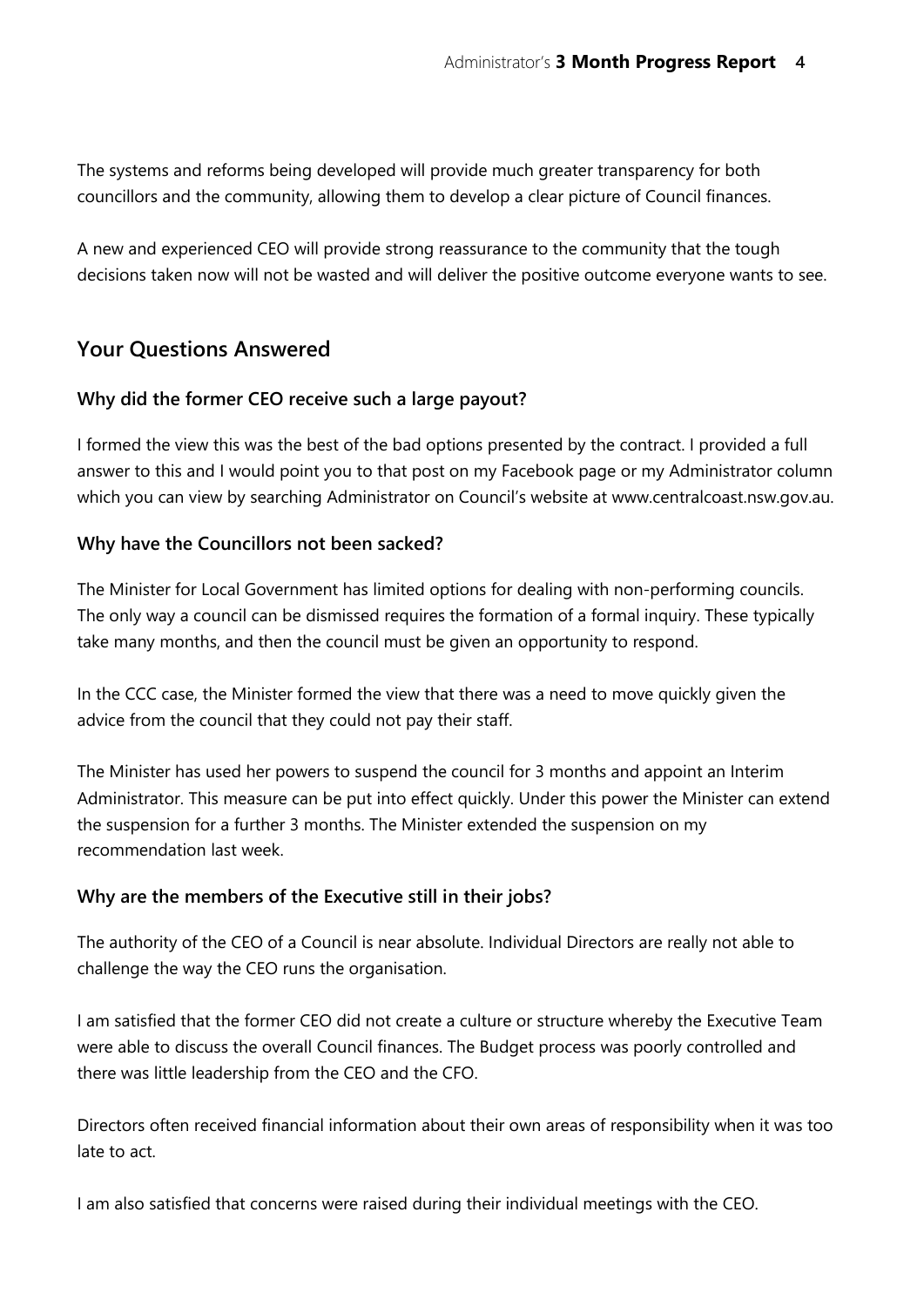The systems and reforms being developed will provide much greater transparency for both councillors and the community, allowing them to develop a clear picture of Council finances.

A new and experienced CEO will provide strong reassurance to the community that the tough decisions taken now will not be wasted and will deliver the positive outcome everyone wants to see.

## **Your Questions Answered**

## **Why did the former CEO receive such a large payout?**

I formed the view this was the best of the bad options presented by the contract. I provided a full answer to this and I would point you to that post on my Facebook page or my Administrator column which you can view by searching Administrator on Council's website at www.centralcoast.nsw.gov.au.

## **Why have the Councillors not been sacked?**

The Minister for Local Government has limited options for dealing with non-performing councils. The only way a council can be dismissed requires the formation of a formal inquiry. These typically take many months, and then the council must be given an opportunity to respond.

In the CCC case, the Minister formed the view that there was a need to move quickly given the advice from the council that they could not pay their staff.

The Minister has used her powers to suspend the council for 3 months and appoint an Interim Administrator. This measure can be put into effect quickly. Under this power the Minister can extend the suspension for a further 3 months. The Minister extended the suspension on my recommendation last week.

#### **Why are the members of the Executive still in their jobs?**

The authority of the CEO of a Council is near absolute. Individual Directors are really not able to challenge the way the CEO runs the organisation.

I am satisfied that the former CEO did not create a culture or structure whereby the Executive Team were able to discuss the overall Council finances. The Budget process was poorly controlled and there was little leadership from the CEO and the CFO.

Directors often received financial information about their own areas of responsibility when it was too late to act.

I am also satisfied that concerns were raised during their individual meetings with the CEO.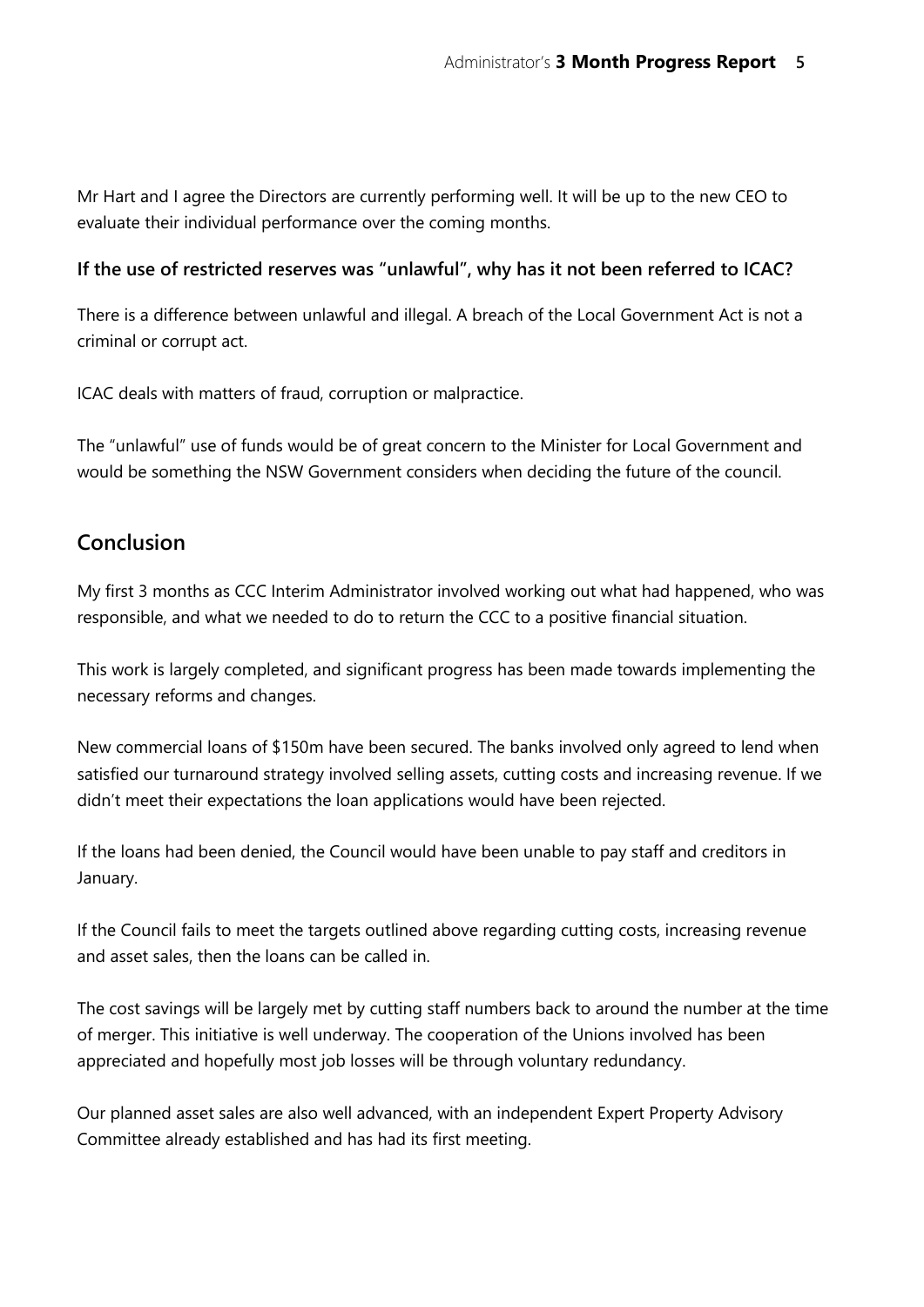Mr Hart and I agree the Directors are currently performing well. It will be up to the new CEO to evaluate their individual performance over the coming months.

#### **If the use of restricted reserves was "unlawful", why has it not been referred to ICAC?**

There is a difference between unlawful and illegal. A breach of the Local Government Act is not a criminal or corrupt act.

ICAC deals with matters of fraud, corruption or malpractice.

The "unlawful" use of funds would be of great concern to the Minister for Local Government and would be something the NSW Government considers when deciding the future of the council.

## **Conclusion**

My first 3 months as CCC Interim Administrator involved working out what had happened, who was responsible, and what we needed to do to return the CCC to a positive financial situation.

This work is largely completed, and significant progress has been made towards implementing the necessary reforms and changes.

New commercial loans of \$150m have been secured. The banks involved only agreed to lend when satisfied our turnaround strategy involved selling assets, cutting costs and increasing revenue. If we didn't meet their expectations the loan applications would have been rejected.

If the loans had been denied, the Council would have been unable to pay staff and creditors in January.

If the Council fails to meet the targets outlined above regarding cutting costs, increasing revenue and asset sales, then the loans can be called in.

The cost savings will be largely met by cutting staff numbers back to around the number at the time of merger. This initiative is well underway. The cooperation of the Unions involved has been appreciated and hopefully most job losses will be through voluntary redundancy.

Our planned asset sales are also well advanced, with an independent Expert Property Advisory Committee already established and has had its first meeting.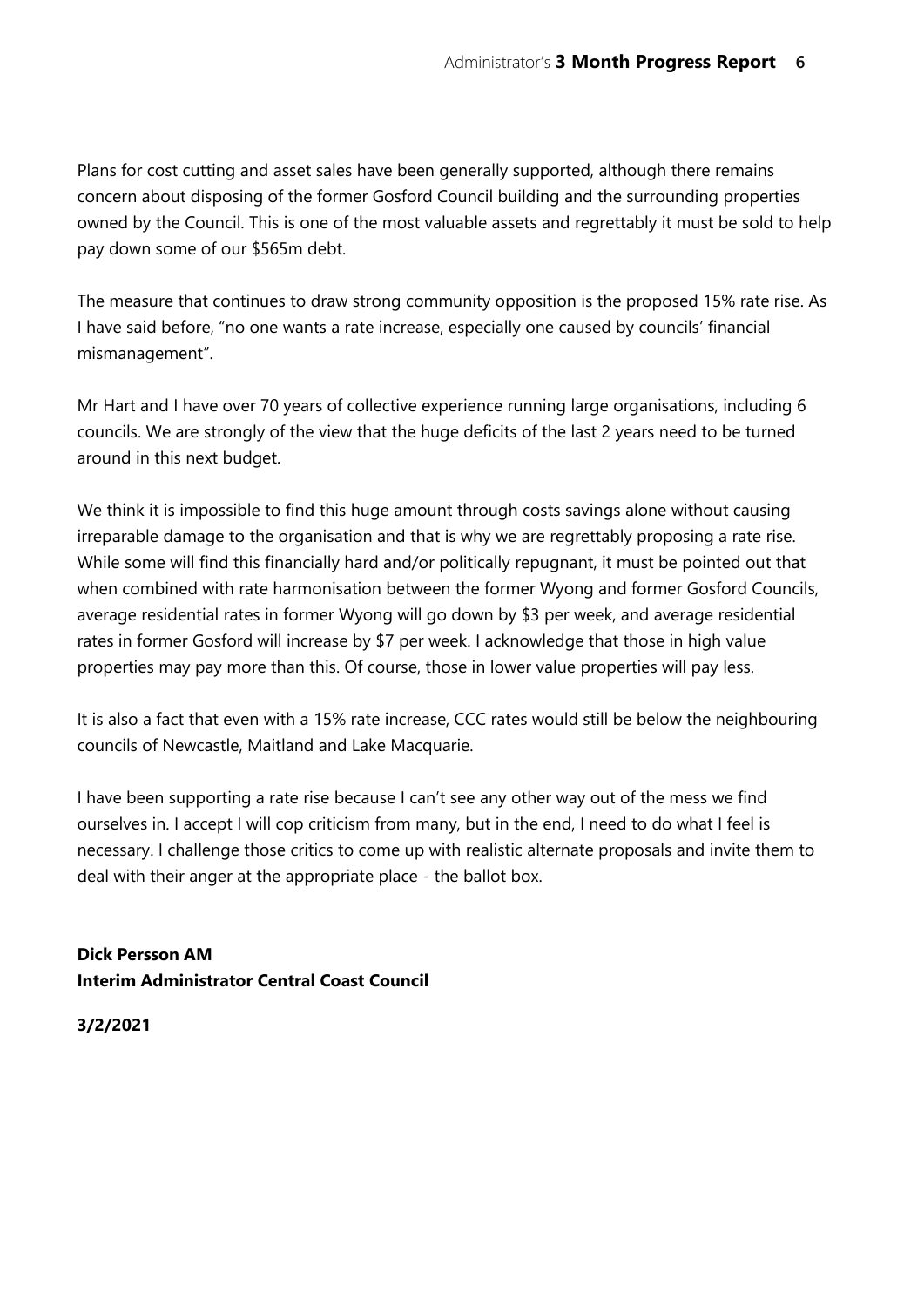Plans for cost cutting and asset sales have been generally supported, although there remains concern about disposing of the former Gosford Council building and the surrounding properties owned by the Council. This is one of the most valuable assets and regrettably it must be sold to help pay down some of our \$565m debt.

The measure that continues to draw strong community opposition is the proposed 15% rate rise. As I have said before, "no one wants a rate increase, especially one caused by councils' financial mismanagement".

Mr Hart and I have over 70 years of collective experience running large organisations, including 6 councils. We are strongly of the view that the huge deficits of the last 2 years need to be turned around in this next budget.

We think it is impossible to find this huge amount through costs savings alone without causing irreparable damage to the organisation and that is why we are regrettably proposing a rate rise. While some will find this financially hard and/or politically repugnant, it must be pointed out that when combined with rate harmonisation between the former Wyong and former Gosford Councils, average residential rates in former Wyong will go down by \$3 per week, and average residential rates in former Gosford will increase by \$7 per week. I acknowledge that those in high value properties may pay more than this. Of course, those in lower value properties will pay less.

It is also a fact that even with a 15% rate increase, CCC rates would still be below the neighbouring councils of Newcastle, Maitland and Lake Macquarie.

I have been supporting a rate rise because I can't see any other way out of the mess we find ourselves in. I accept I will cop criticism from many, but in the end, I need to do what I feel is necessary. I challenge those critics to come up with realistic alternate proposals and invite them to deal with their anger at the appropriate place - the ballot box.

**Dick Persson AM Interim Administrator Central Coast Council**

**3/2/2021**